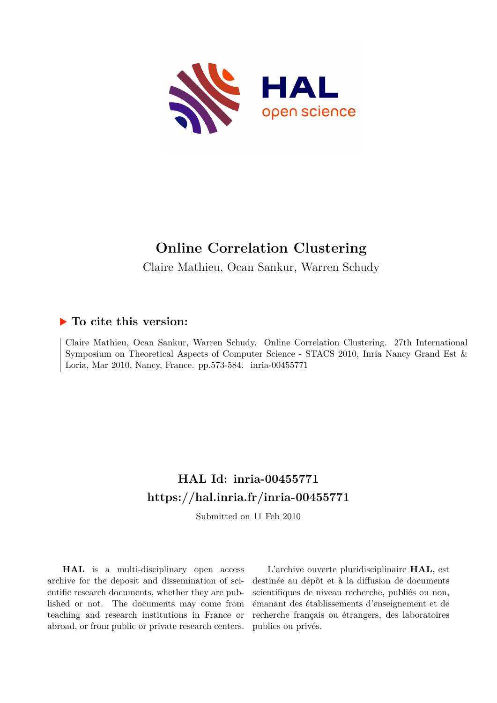

# **Online Correlation Clustering**

Claire Mathieu, Ocan Sankur, Warren Schudy

## **To cite this version:**

Claire Mathieu, Ocan Sankur, Warren Schudy. Online Correlation Clustering. 27th International Symposium on Theoretical Aspects of Computer Science - STACS 2010, Inria Nancy Grand Est & Loria, Mar 2010, Nancy, France. pp. 573-584. inria-00455771

## **HAL Id: inria-00455771 <https://hal.inria.fr/inria-00455771>**

Submitted on 11 Feb 2010

**HAL** is a multi-disciplinary open access archive for the deposit and dissemination of scientific research documents, whether they are published or not. The documents may come from teaching and research institutions in France or abroad, or from public or private research centers.

L'archive ouverte pluridisciplinaire **HAL**, est destinée au dépôt et à la diffusion de documents scientifiques de niveau recherche, publiés ou non, émanant des établissements d'enseignement et de recherche français ou étrangers, des laboratoires publics ou privés.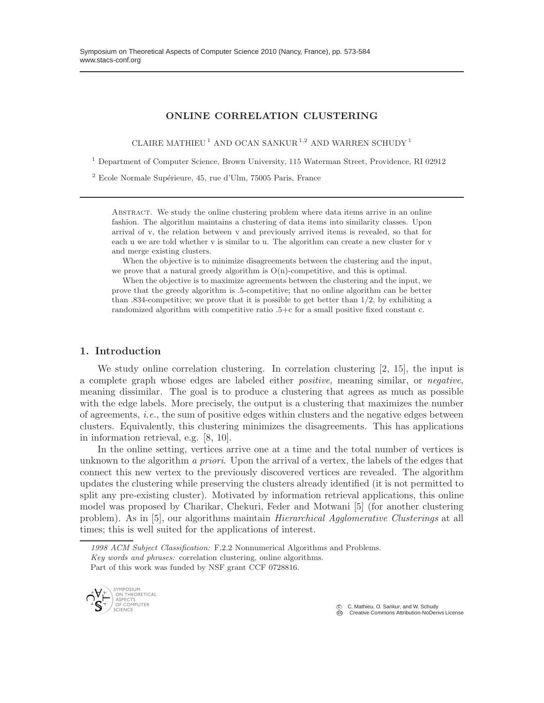#### ONLINE CORRELATION CLUSTERING

CLAIRE MATHIEU<sup>1</sup> AND OCAN SANKUR<sup>1,2</sup> AND WARREN SCHUDY<sup>1</sup>

<sup>1</sup> Department of Computer Science, Brown University, 115 Waterman Street, Providence, RI 02912

 $2$  Ecole Normale Supérieure, 45, rue d'Ulm, 75005 Paris, France

ABSTRACT. We study the online clustering problem where data items arrive in an online fashion. The algorithm maintains a clustering of data items into similarity classes. Upon arrival of v, the relation between v and previously arrived items is revealed, so that for each u we are told whether v is similar to u. The algorithm can create a new cluster for v and merge existing clusters.

When the objective is to minimize disagreements between the clustering and the input, we prove that a natural greedy algorithm is  $O(n)$ -competitive, and this is optimal.

When the objective is to maximize agreements between the clustering and the input, we prove that the greedy algorithm is .5-competitive; that no online algorithm can be better than  $.834$ -competitive; we prove that it is possible to get better than  $1/2$ , by exhibiting a randomized algorithm with competitive ratio .5+c for a small positive fixed constant c.

#### 1. Introduction

We study online correlation clustering. In correlation clustering [2, 15], the input is a complete graph whose edges are labeled either *positive*, meaning similar, or *negative*, meaning dissimilar. The goal is to produce a clustering that agrees as much as possible with the edge labels. More precisely, the output is a clustering that maximizes the number of agreements, *i.e.*, the sum of positive edges within clusters and the negative edges between clusters. Equivalently, this clustering minimizes the disagreements. This has applications in information retrieval, e.g. [8, 10].

In the online setting, vertices arrive one at a time and the total number of vertices is unknown to the algorithm *a priori*. Upon the arrival of a vertex, the labels of the edges that connect this new vertex to the previously discovered vertices are revealed. The algorithm updates the clustering while preserving the clusters already identified (it is not permitted to split any pre-existing cluster). Motivated by information retrieval applications, this online model was proposed by Charikar, Chekuri, Feder and Motwani [5] (for another clustering problem). As in [5], our algorithms maintain *Hierarchical Agglomerative Clusterings* at all times; this is well suited for the applications of interest.

*<sup>1998</sup> ACM Subject Classification:* F.2.2 Nonnumerical Algorithms and Problems. *Key words and phrases:* correlation clustering, online algorithms. Part of this work was funded by NSF grant CCF 0728816.



C C. Mathieu, O. Sankur, and W. Schudy<br>
Creative Commons Attribution-NoDeric

**Creative Commons Attribution-NoDerivs License**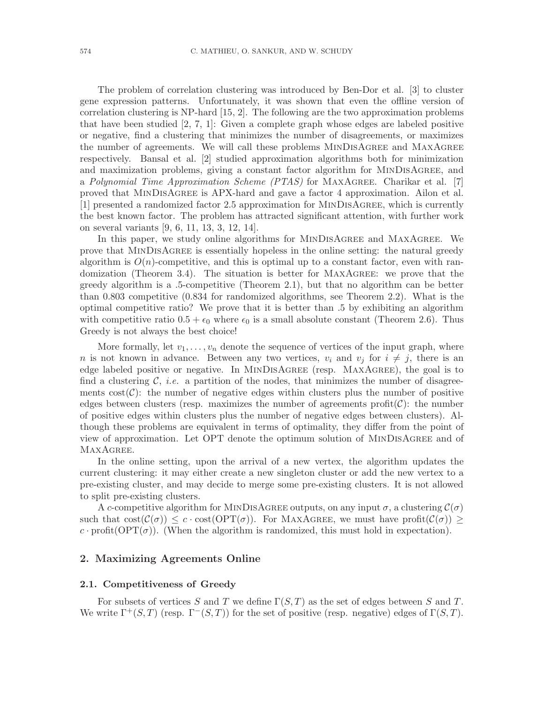The problem of correlation clustering was introduced by Ben-Dor et al. [3] to cluster gene expression patterns. Unfortunately, it was shown that even the offline version of correlation clustering is NP-hard [15, 2]. The following are the two approximation problems that have been studied [2, 7, 1]: Given a complete graph whose edges are labeled positive or negative, find a clustering that minimizes the number of disagreements, or maximizes the number of agreements. We will call these problems MinDisAgree and MaxAgree respectively. Bansal et al. [2] studied approximation algorithms both for minimization and maximization problems, giving a constant factor algorithm for MinDisAgree, and a *Polynomial Time Approximation Scheme (PTAS)* for MaxAgree. Charikar et al. [7] proved that MinDisAgree is APX-hard and gave a factor 4 approximation. Ailon et al. [1] presented a randomized factor 2.5 approximation for MinDisAgree, which is currently the best known factor. The problem has attracted significant attention, with further work on several variants [9, 6, 11, 13, 3, 12, 14].

In this paper, we study online algorithms for MINDISAGREE and MAXAGREE. We prove that MinDisAgree is essentially hopeless in the online setting: the natural greedy algorithm is  $O(n)$ -competitive, and this is optimal up to a constant factor, even with randomization (Theorem 3.4). The situation is better for MaxAgree: we prove that the greedy algorithm is a .5-competitive (Theorem 2.1), but that no algorithm can be better than 0.803 competitive (0.834 for randomized algorithms, see Theorem 2.2). What is the optimal competitive ratio? We prove that it is better than .5 by exhibiting an algorithm with competitive ratio  $0.5 + \epsilon_0$  where  $\epsilon_0$  is a small absolute constant (Theorem 2.6). Thus Greedy is not always the best choice!

More formally, let  $v_1, \ldots, v_n$  denote the sequence of vertices of the input graph, where n is not known in advance. Between any two vertices,  $v_i$  and  $v_j$  for  $i \neq j$ , there is an edge labeled positive or negative. In MinDisAgree (resp. MaxAgree), the goal is to find a clustering  $C$ , *i.e.* a partition of the nodes, that minimizes the number of disagreements  $cost(\mathcal{C})$ : the number of negative edges within clusters plus the number of positive edges between clusters (resp. maximizes the number of agreements  $\text{profit}(\mathcal{C})$ : the number of positive edges within clusters plus the number of negative edges between clusters). Although these problems are equivalent in terms of optimality, they differ from the point of view of approximation. Let OPT denote the optimum solution of MinDisAgree and of MAXAGREE.

In the online setting, upon the arrival of a new vertex, the algorithm updates the current clustering: it may either create a new singleton cluster or add the new vertex to a pre-existing cluster, and may decide to merge some pre-existing clusters. It is not allowed to split pre-existing clusters.

A c-competitive algorithm for MINDISAGREE outputs, on any input  $\sigma$ , a clustering  $\mathcal{C}(\sigma)$ such that  $\text{cost}(\mathcal{C}(\sigma)) \leq c \cdot \text{cost}(\text{OPT}(\sigma))$ . For MAXAGREE, we must have  $\text{profit}(\mathcal{C}(\sigma)) \geq c$ c · profit( $OPT(\sigma)$ ). (When the algorithm is randomized, this must hold in expectation).

#### 2. Maximizing Agreements Online

#### 2.1. Competitiveness of Greedy

For subsets of vertices S and T we define  $\Gamma(S,T)$  as the set of edges between S and T. We write  $\Gamma^+(S,T)$  (resp.  $\Gamma^-(S,T)$ ) for the set of positive (resp. negative) edges of  $\Gamma(S,T)$ .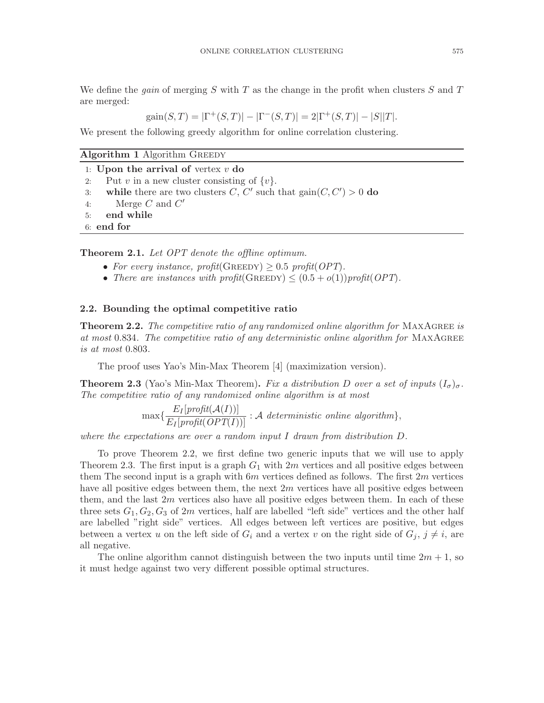We define the *gain* of merging S with T as the change in the profit when clusters S and T are merged:

$$
gain(S,T) = |\Gamma^+(S,T)| - |\Gamma^-(S,T)| = 2|\Gamma^+(S,T)| - |S||T|.
$$

We present the following greedy algorithm for online correlation clustering.

| <b>Algorithm 1 Algorithm GREEDY</b>                                            |
|--------------------------------------------------------------------------------|
| 1: Upon the arrival of vertex $v$ do                                           |
| Put v in a new cluster consisting of $\{v\}$ .<br>2:                           |
| while there are two clusters C, C' such that $\text{gain}(C, C') > 0$ do<br>3: |
| Merge $C$ and $C'$<br>4:                                                       |
| end while<br>5:                                                                |
| $6:$ end for                                                                   |

Theorem 2.1. *Let OPT denote the offline optimum.*

- For every instance, profit(GREEDY)  $> 0.5$  profit(OPT).
- *There are instances with profit*(GREEDY)  $\leq (0.5 + o(1))$ *profit*(*OPT*).

#### 2.2. Bounding the optimal competitive ratio

**Theorem 2.2.** The competitive ratio of any randomized online algorithm for MAXAGREE is *at most* 0.834*. The competitive ratio of any deterministic online algorithm for* MaxAgree *is at most* 0.803*.*

The proof uses Yao's Min-Max Theorem [4] (maximization version).

**Theorem 2.3** (Yao's Min-Max Theorem). *Fix a distribution* D *over a set of inputs*  $(I_{\sigma})_{\sigma}$ . *The competitive ratio of any randomized online algorithm is at most*

$$
\max\{\frac{E_I[profit(\mathcal{A}(I))]}{E_I[profit(OPT(I))]} : \mathcal{A} \text{ deterministic online algorithm}\},\
$$

*where the expectations are over a random input* I *drawn from distribution* D*.*

To prove Theorem 2.2, we first define two generic inputs that we will use to apply Theorem 2.3. The first input is a graph  $G_1$  with  $2m$  vertices and all positive edges between them The second input is a graph with  $6m$  vertices defined as follows. The first  $2m$  vertices have all positive edges between them, the next 2m vertices have all positive edges between them, and the last  $2m$  vertices also have all positive edges between them. In each of these three sets  $G_1, G_2, G_3$  of 2m vertices, half are labelled "left side" vertices and the other half are labelled "right side" vertices. All edges between left vertices are positive, but edges between a vertex u on the left side of  $G_i$  and a vertex v on the right side of  $G_j$ ,  $j \neq i$ , are all negative.

The online algorithm cannot distinguish between the two inputs until time  $2m + 1$ , so it must hedge against two very different possible optimal structures.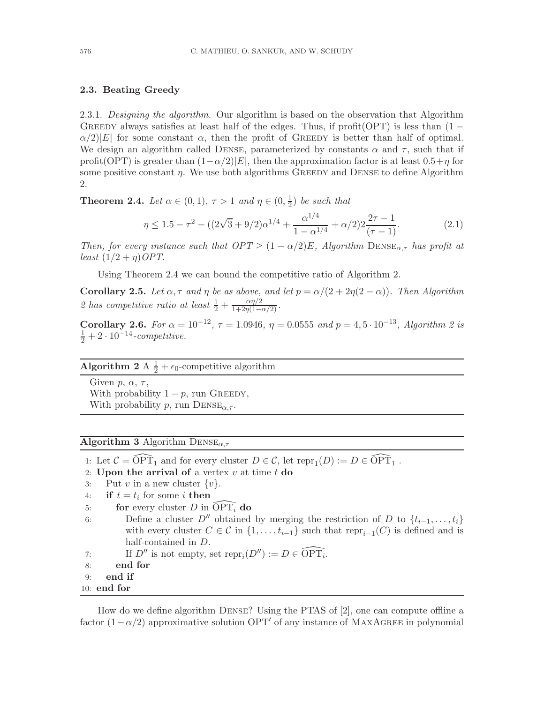#### 2.3. Beating Greedy

2.3.1. *Designing the algorithm.* Our algorithm is based on the observation that Algorithm GREEDY always satisfies at least half of the edges. Thus, if profit(OPT) is less than  $(1 \alpha/2|E|$  for some constant  $\alpha$ , then the profit of GREEDY is better than half of optimal. We design an algorithm called DENSE, parameterized by constants  $\alpha$  and  $\tau$ , such that if profit(OPT) is greater than  $(1-\alpha/2)|E|$ , then the approximation factor is at least  $0.5+\eta$  for some positive constant  $\eta$ . We use both algorithms GREEDY and DENSE to define Algorithm 2.

**Theorem 2.4.** *Let*  $\alpha \in (0, 1)$ ,  $\tau > 1$  *and*  $\eta \in (0, \frac{1}{2})$  $(\frac{1}{2})$  *be such that* 

$$
\eta \le 1.5 - \tau^2 - ((2\sqrt{3} + 9/2)\alpha^{1/4} + \frac{\alpha^{1/4}}{1 - \alpha^{1/4}} + \alpha/2)2\frac{2\tau - 1}{(\tau - 1)}.\tag{2.1}
$$

*Then, for every instance such that*  $OPT \geq (1 - \alpha/2)E$ *, Algorithm*  $DENSE_{\alpha, \tau}$  *has profit at least*  $(1/2 + \eta)$ *OPT*.

Using Theorem 2.4 we can bound the competitive ratio of Algorithm 2.

Corollary 2.5. Let  $\alpha, \tau$  and  $\eta$  be as above, and let  $p = \alpha/(2 + 2\eta(2 - \alpha))$ . Then Algorithm 2 has competitive ratio at least  $\frac{1}{2} + \frac{\alpha \eta/2}{1 + 2\eta(1 - \alpha/2)}$ .

**Corollary 2.6.** *For*  $\alpha = 10^{-12}$ ,  $\tau = 1.0946$ ,  $\eta = 0.0555$  *and*  $p = 4.5 \cdot 10^{-13}$ , *Algorithm 2 is*  $\frac{1}{2} + 2 \cdot 10^{-14}$ -competitive.

## Algorithm 2 A  $\frac{1}{2} + \epsilon_0$ -competitive algorithm

Given  $p, \alpha, \tau$ , With probability  $1 - p$ , run GREEDY, With probability p, run  $DENSE_{\alpha,\tau}$ .

**Algorithm 3** Algorithm  $DENSE_{\alpha,\tau}$ 

1: Let  $C = \widehat{\text{OPT}}_1$  and for every cluster  $D \in \mathcal{C}$ , let  $\text{repr}_1(D) := D \in \widehat{\text{OPT}}_1$ .

- 2: Upon the arrival of a vertex  $v$  at time  $t$  do
- 3: Put v in a new cluster  $\{v\}$ .<br>4: **if**  $t = t_i$  for some *i* then
- 4: if  $t = t_i$  for some *i* then
- 5: for every cluster D in  $\widehat{\text{OPT}_i}$  do
- 6: Define a cluster  $D''$  obtained by merging the restriction of D to  $\{t_{i-1}, \ldots, t_i\}$ with every cluster  $C \in \mathcal{C}$  in  $\{1, \ldots, t_{i-1}\}$  such that  $\text{repr}_{i-1}(C)$  is defined and is half-contained in D.
- 7: If  $D''$  is not empty, set  $\text{repr}_i(D'') := D \in \widehat{\text{OPT}_i}$ .
- 8: end for
- 9: end if

```
10: end for
```
How do we define algorithm Dense? Using the PTAS of [2], one can compute offline a factor  $(1 - \alpha/2)$  approximative solution OPT' of any instance of MAXAGREE in polynomial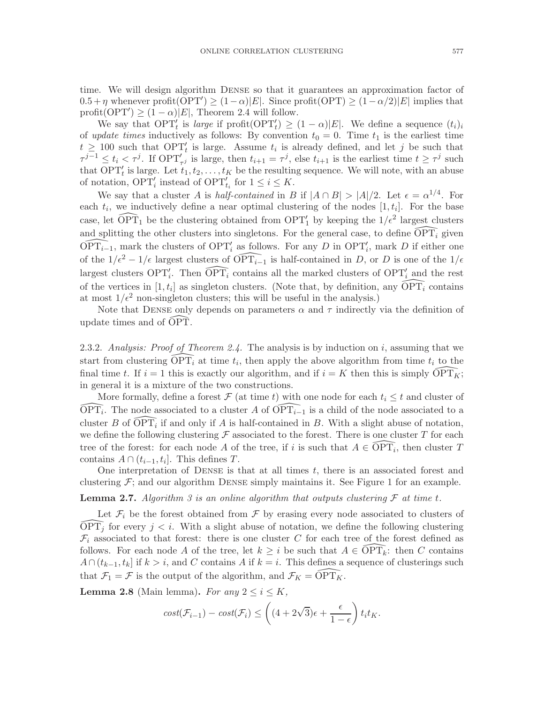time. We will design algorithm Dense so that it guarantees an approximation factor of  $0.5 + \eta$  whenever profit( $\text{OPT}'$ )  $\geq (1 - \alpha)|E|$ . Since profit( $\text{OPT}$ )  $\geq (1 - \alpha/2)|E|$  implies that profit(OPT')  $\geq (1 - \alpha)|E|$ , Theorem 2.4 will follow.

We say that  $\text{OPT}'_t$  is *large* if  $\text{profit}(\text{OPT}'_t) \geq (1 - \alpha)|E|$ . We define a sequence  $(t_i)_i$ of *update times* inductively as follows: By convention  $t_0 = 0$ . Time  $t_1$  is the earliest time  $t \geq 100$  such that OPT' is large. Assume  $t_i$  is already defined, and let j be such that  $\tau^{j-1} \leq t_i < \tau^j$ . If  $\text{OPT}_{\tau^j}$  is large, then  $t_{i+1} = \tau^j$ , else  $t_{i+1}$  is the earliest time  $t \geq \tau^j$  such that  $\text{OPT}'_t$  is large. Let  $t_1, t_2, \ldots, t_K$  be the resulting sequence. We will note, with an abuse of notation,  $\text{OPT}'_i$  instead of  $\text{OPT}'_{t_i}$  for  $1 \leq i \leq K$ .

We say that a cluster A is *half-contained* in B if  $|A \cap B| > |A|/2$ . Let  $\epsilon = \alpha^{1/4}$ . For each  $t_i$ , we inductively define a near optimal clustering of the nodes  $[1, t_i]$ . For the base case, let  $\widehat{\text{OPT}}_1$  be the clustering obtained from  $\text{OPT}'_1$  by keeping the  $1/\epsilon^2$  largest clusters and splitting the other clusters into singletons. For the general case, to define  $\overline{OPT_i}$  given  $\widehat{\text{OPT}_{i-1}}$ , mark the clusters of  $\text{OPT}'_i$  as follows. For any D in  $\text{OPT}'_i$ , mark D if either one of the  $1/\epsilon^2 - 1/\epsilon$  largest clusters of  $\widehat{\text{OPT}_{i-1}}$  is half-contained in D, or D is one of the  $1/\epsilon$ largest clusters  $OPT'_i$ . Then  $\widehat{OPT_i}$  contains all the marked clusters of  $OPT'_i$  and the rest of the vertices in [1,  $t_i$ ] as singleton clusters. (Note that, by definition, any  $\widehat{\text{OPT}_i}$  contains at most  $1/\epsilon^2$  non-singleton clusters; this will be useful in the analysis.)

Note that DENSE only depends on parameters  $\alpha$  and  $\tau$  indirectly via the definition of update times and of  $\widehat{OPT}$ .

2.3.2. *Analysis: Proof of Theorem 2.4.* The analysis is by induction on i, assuming that we start from clustering  $\widehat{\text{OPT}_i}$  at time  $t_i$ , then apply the above algorithm from time  $t_i$  to the final time t. If  $i = 1$  this is exactly our algorithm, and if  $i = K$  then this is simply  $\widehat{OPT_K}$ ; in general it is a mixture of the two constructions.

More formally, define a forest  $\mathcal F$  (at time t) with one node for each  $t_i \leq t$  and cluster of  $\widehat{\text{OPT}_i}$ . The node associated to a cluster A of  $\widehat{\text{OPT}_{i-1}}$  is a child of the node associated to a cluster B of  $\widehat{\text{OPT}_i}$  if and only if A is half-contained in B. With a slight abuse of notation, we define the following clustering  $\mathcal F$  associated to the forest. There is one cluster T for each tree of the forest: for each node A of the tree, if i is such that  $A \in \widehat{\text{OPT}_i}$ , then cluster T contains  $A \cap (t_{i-1}, t_i]$ . This defines T.

One interpretation of DENSE is that at all times  $t$ , there is an associated forest and clustering  $\mathcal{F}$ ; and our algorithm DENSE simply maintains it. See Figure 1 for an example.

**Lemma 2.7.** Algorithm 3 is an online algorithm that outputs clustering  $\mathcal F$  at time t.

Let  $\mathcal{F}_i$  be the forest obtained from  $\mathcal F$  by erasing every node associated to clusters of  $\widehat{\text{OPT}_i}$  for every  $j < i$ . With a slight abuse of notation, we define the following clustering  $\mathcal{F}_i$  associated to that forest: there is one cluster C for each tree of the forest defined as follows. For each node A of the tree, let  $k \geq i$  be such that  $A \in \widehat{OPT_k}$ : then C contains  $A \cap (t_{k-1}, t_k]$  if  $k > i$ , and C contains A if  $k = i$ . This defines a sequence of clusterings such that  $\mathcal{F}_1 = \mathcal{F}$  is the output of the algorithm, and  $\mathcal{F}_K = \widehat{\text{OPT}_K}$ .

**Lemma 2.8** (Main lemma). For any  $2 \leq i \leq K$ ,

$$
cost(\mathcal{F}_{i-1}) - cost(\mathcal{F}_i) \le \left( (4 + 2\sqrt{3})\epsilon + \frac{\epsilon}{1 - \epsilon} \right) t_i t_K.
$$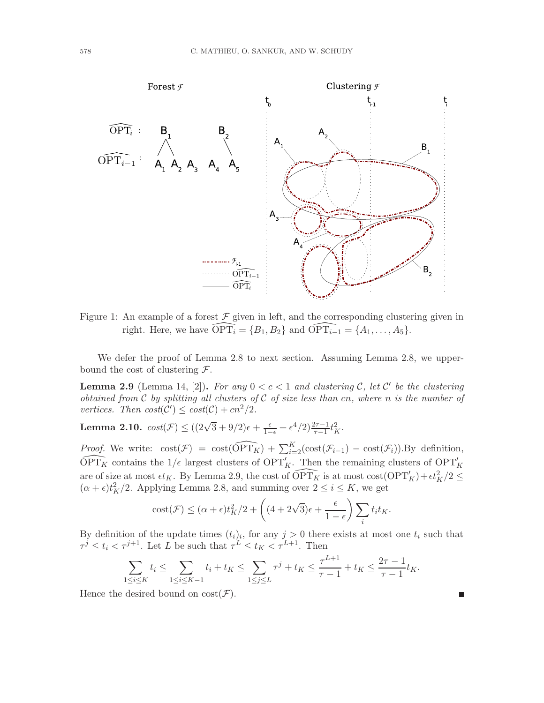

Figure 1: An example of a forest  $\mathcal F$  given in left, and the corresponding clustering given in right. Here, we have  $\widehat{\text{OPT}_i} = \{B_1, B_2\}$  and  $\widehat{\text{OPT}_{i-1}} = \{A_1, \ldots, A_5\}.$ 

We defer the proof of Lemma 2.8 to next section. Assuming Lemma 2.8, we upperbound the cost of clustering  $\mathcal{F}$ .

**Lemma 2.9** (Lemma 14, [2]). For any  $0 < c < 1$  and clustering C, let C' be the clustering *obtained from* C *by splitting all clusters of* C *of size less than* cn*, where* n *is the number of vertices. Then*  $cost(C') \leq cost(C) + cn^2/2$ *.* 

Lemma 2.10.  $cost(\mathcal{F}) \leq ((2\sqrt{3} + 9/2)\epsilon + \frac{\epsilon}{1-\epsilon} + \epsilon^4/2)\frac{2\tau - 1}{\tau - 1}t_K^2$ .

*Proof.* We write:  $\text{cost}(\mathcal{F}) = \text{cost}(\widehat{\text{OPT}_K}) + \sum_{i=2}^K (\text{cost}(\mathcal{F}_{i-1}) - \text{cost}(\mathcal{F}_i)).$  By definition,  $\widehat{\text{OPT}_K}$  contains the  $1/\epsilon$  largest clusters of  $\text{OPT}'_K$ . Then the remaining clusters of  $\text{OPT}'_K$ are of size at most  $\epsilon t_K$ . By Lemma 2.9, the cost of  $\widehat{\text{OPT}_K}$  is at most  $\text{cost}(\text{OPT}'_K) + \epsilon t_K^2/2 \leq$  $(\alpha + \epsilon)t_K^2/2$ . Applying Lemma 2.8, and summing over  $2 \le i \le K$ , we get

$$
\cot(\mathcal{F}) \leq (\alpha + \epsilon)t_K^2/2 + \left( (4 + 2\sqrt{3})\epsilon + \frac{\epsilon}{1 - \epsilon} \right) \sum_i t_i t_K.
$$

By definition of the update times  $(t_i)_i$ , for any  $j > 0$  there exists at most one  $t_i$  such that  $\tau^j \le t_i < \tau^{j+1}$ . Let L be such that  $\tau^L \le t_K < \tau^{L+1}$ . Then

$$
\sum_{1 \le i \le K} t_i \le \sum_{1 \le i \le K-1} t_i + t_K \le \sum_{1 \le j \le L} \tau^j + t_K \le \frac{\tau^{L+1}}{\tau - 1} + t_K \le \frac{2\tau - 1}{\tau - 1} t_K.
$$

П

Hence the desired bound on  $cost(\mathcal{F})$ .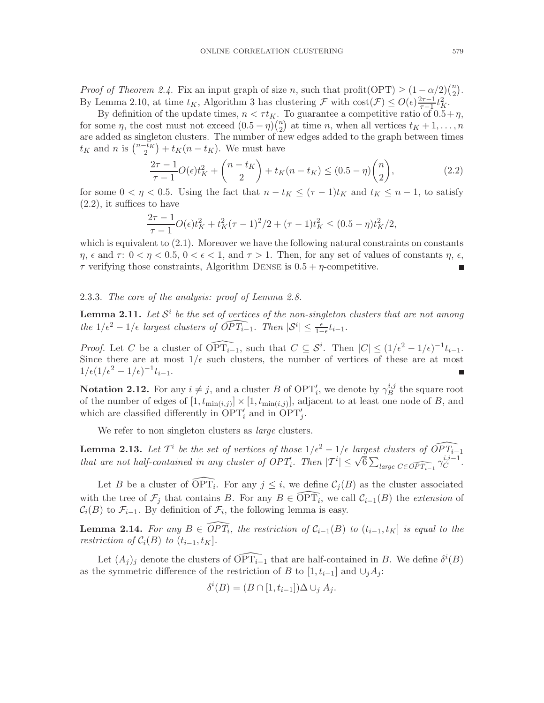*Proof of Theorem 2.4.* Fix an input graph of size n, such that profit(OPT)  $\geq (1 - \alpha/2) {n \choose 2}$  $\binom{n}{2}$ . By Lemma 2.10, at time  $t_K$ , Algorithm 3 has clustering  $\mathcal F$  with  $\cos(\mathcal F) \leq O(\epsilon) \frac{2\tau - 1}{\tau - 1}$  $rac{2\tau-1}{\tau-1}t_K^2$ .

By definition of the update times,  $n < \tau t_K$ . To guarantee a competitive ratio of  $0.5+\eta$ , for some  $\eta$ , the cost must not exceed  $(0.5 - \eta) \binom{n}{2}$  $n \choose 2$  at time *n*, when all vertices  $t_K + 1, \ldots, n$ are added as singleton clusters. The number of new edges added to the graph between times  $t_K$  and n is  $\binom{n-\bar{t}_K}{2} + t_K(n-t_K)$ . We must have

$$
\frac{2\tau - 1}{\tau - 1} O(\epsilon) t_K^2 + {n - t_K \choose 2} + t_K(n - t_K) \le (0.5 - \eta) {n \choose 2},
$$
\n(2.2)

for some  $0 < \eta < 0.5$ . Using the fact that  $n - t_K \leq (\tau - 1)t_K$  and  $t_K \leq n - 1$ , to satisfy (2.2), it suffices to have

$$
\frac{2\tau - 1}{\tau - 1} O(\epsilon) t_K^2 + t_K^2 (\tau - 1)^2 / 2 + (\tau - 1) t_K^2 \le (0.5 - \eta) t_K^2 / 2,
$$

which is equivalent to  $(2.1)$ . Moreover we have the following natural constraints on constants  $\eta$ ,  $\epsilon$  and  $\tau$ :  $0 < \eta < 0.5$ ,  $0 < \epsilon < 1$ , and  $\tau > 1$ . Then, for any set of values of constants  $\eta$ ,  $\epsilon$ ,  $\tau$  verifying those constraints, Algorithm DENSE is  $0.5 + \eta$ -competitive.

#### 2.3.3. *The core of the analysis: proof of Lemma 2.8.*

**Lemma 2.11.** Let  $\mathcal{S}^i$  be the set of vertices of the non-singleton clusters that are not among *the*  $1/\epsilon^2 - 1/\epsilon$  *largest clusters of*  $\widehat{OPT_{i-1}}$ *. Then*  $|S^i| \leq \frac{\epsilon}{1-\epsilon}t_{i-1}$ *.* 

*Proof.* Let C be a cluster of  $\widehat{\text{OPT}_{i-1}}$ , such that  $C \subseteq S^i$ . Then  $|C| \leq (1/\epsilon^2 - 1/\epsilon)^{-1} t_{i-1}$ . Since there are at most  $1/\epsilon$  such clusters, the number of vertices of these are at most  $1/\epsilon(1/\epsilon^2 - 1/\epsilon)^{-1} t_{i-1}.$ 

**Notation 2.12.** For any  $i \neq j$ , and a cluster B of OPT'<sub>i</sub>, we denote by  $\gamma_B^{i,j}$  $\frac{i,j}{B}$  the square root of the number of edges of  $[1, t_{\min(i,j)}] \times [1, t_{\min(i,j)}]$ , adjacent to at least one node of B, and which are classified differently in  $\overline{OPT'_i}$  and in  $\overline{OPT'_j}$ .

We refer to non singleton clusters as *large* clusters.

**Lemma 2.13.** Let  $T^i$  be the set of vertices of those  $1/\epsilon^2 - 1/\epsilon$  largest clusters of  $\widehat{OPT_{i-1}}$ *that are not half-contained in any cluster of*  $OPT'_i$ *. Then*  $|T^i| \leq \sqrt{6} \sum_{\text{large } C \in \widehat{OPT_{i-1}}} \gamma_C^{i,i-1}$  $\stackrel{i,i-1}{C}$ .

Let B be a cluster of  $\widehat{\text{OPT}_i}$ . For any  $j \leq i$ , we define  $\mathcal{C}_j(B)$  as the cluster associated with the tree of  $\mathcal{F}_j$  that contains B. For any  $B \in \widehat{\text{OPT}_i}$ , we call  $\mathcal{C}_{i-1}(B)$  the *extension* of  $\mathcal{C}_i(B)$  to  $\mathcal{F}_{i-1}$ . By definition of  $\mathcal{F}_i$ , the following lemma is easy.

**Lemma 2.14.** For any  $B \in \widehat{OPT_i}$ , the restriction of  $C_{i-1}(B)$  to  $(t_{i-1}, t_K]$  is equal to the *restriction of*  $C_i(B)$  *to*  $(t_{i-1}, t_K)$ *.* 

Let  $(A_j)_j$  denote the clusters of  $\widehat{\text{OPT}_{i-1}}$  that are half-contained in B. We define  $\delta^i(B)$ as the symmetric difference of the restriction of B to  $[1, t_{i-1}]$  and  $\cup_i A_i$ :

$$
\delta^{i}(B) = (B \cap [1, t_{i-1}]) \Delta \cup_j A_j.
$$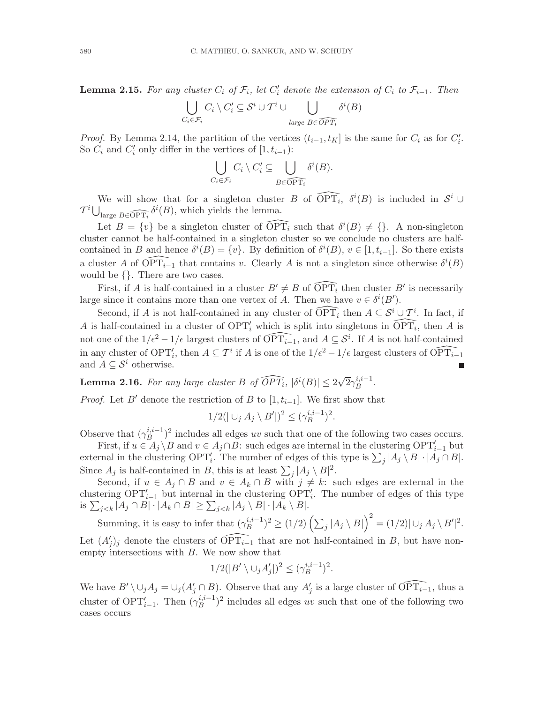**Lemma 2.15.** For any cluster  $C_i$  of  $\mathcal{F}_i$ , let  $C'_i$  denote the extension of  $C_i$  to  $\mathcal{F}_{i-1}$ . Then

$$
\bigcup_{C_i \in \mathcal{F}_i} C_i \setminus C'_i \subseteq \mathcal{S}^i \cup \mathcal{T}^i \cup \bigcup_{\text{large } B \in \widehat{OPT_i}} \delta^i(B)
$$

*Proof.* By Lemma 2.14, the partition of the vertices  $(t_{i-1}, t_K]$  is the same for  $C_i$  as for  $C'_i$ . So  $C_i$  and  $C'_i$  only differ in the vertices of  $[1, t_{i-1})$ :

$$
\bigcup_{C_i \in \mathcal{F}_i} C_i \setminus C'_i \subseteq \bigcup_{B \in \widehat{\text{OPT}_i}} \delta^i(B).
$$

We will show that for a singleton cluster B of  $\widehat{\text{OPT}_i}$ ,  $\delta^i(B)$  is included in  $\mathcal{S}^i \cup$  $T^i \bigcup_{\text{large } B \in \widehat{\text{OPT}_i}} \delta^i(B)$ , which yields the lemma.

Let  $B = \{v\}$  be a singleton cluster of  $\widehat{\text{OPT}_i}$  such that  $\delta^i(B) \neq \{\}$ . A non-singleton cluster cannot be half-contained in a singleton cluster so we conclude no clusters are halfcontained in B and hence  $\delta^i(B) = \{v\}$ . By definition of  $\delta^i(B)$ ,  $v \in [1, t_{i-1}]$ . So there exists a cluster A of  $\widehat{\text{OPT}_{i-1}}$  that contains v. Clearly A is not a singleton since otherwise  $\delta^{i}(B)$ would be {}. There are two cases.

First, if A is half-contained in a cluster  $B' \neq B$  of  $\widehat{\text{OPT}_i}$  then cluster  $B'$  is necessarily large since it contains more than one vertex of A. Then we have  $v \in \delta^{i}(B')$ .

Second, if A is not half-contained in any cluster of  $\widehat{\text{OPT}_i}$  then  $A \subseteq S^i \cup T^i$ . In fact, if A is half-contained in a cluster of  $\text{OPT}'_i$  which is split into singletons in  $\widehat{\text{OPT}_i}$ , then A is not one of the  $1/\epsilon^2 - 1/\epsilon$  largest clusters of  $\widehat{\text{OPT}_{i-1}}$ , and  $A \subseteq \mathcal{S}^i$ . If A is not half-contained in any cluster of  $\text{OPT}'_i$ , then  $A \subseteq \mathcal{T}^i$  if A is one of the  $1/\epsilon^2 - 1/\epsilon$  largest clusters of  $\widehat{\text{OPT}_{i-1}}$ and  $A \subseteq \mathcal{S}^i$  otherwise.

Lemma 2.16. For any large cluster B of  $\widehat{OPT_i}$ ,  $|\delta^i(B)| \leq 2\sqrt{2}\gamma_B^{i,i-1}$  $\stackrel{i,i-1}{B}$ .

*Proof.* Let B' denote the restriction of B to  $[1, t_{i-1}]$ . We first show that

$$
1/2(|\cup_j A_j \setminus B'|)^2 \leq (\gamma_B^{i,i-1})^2.
$$

Observe that  $(\gamma_B^{i,i-1})$  $\binom{n,i-1}{B}$  includes all edges uv such that one of the following two cases occurs.

First, if  $u \in A_j \setminus B$  and  $v \in A_j \cap B$ : such edges are internal in the clustering  $\text{OPT}'_{i-1}$  but external in the clustering  $OPT'_i$ . The number of edges of this type is  $\sum_j |A_j \setminus B| \cdot |A_j \cap B|$ . Since  $A_j$  is half-contained in B, this is at least  $\sum_j |A_j \setminus B|^2$ .

Second, if  $u \in A_j \cap B$  and  $v \in A_k \cap B$  with  $j \neq k$ : such edges are external in the clustering  $OPT'_{i-1}$  but internal in the clustering  $OPT'_{i}$ . The number of edges of this type is  $\sum_{j < k} |A_j \cap B| \cdot |A_k \cap B| \ge \sum_{j < k} |A_j \setminus B| \cdot |A_k \setminus B|$ .

Summing, it is easy to infer that  $(\gamma_B^{i,i-1})$  $\sum_{B}^{i,i-1})^2 \ge (1/2) \left( \sum_j |A_j \setminus B| \right)^2 = (1/2) |\cup_j A_j \setminus B'|^2.$ Let  $(A'_j)_j$  denote the clusters of  $\widehat{\text{OPT}_{i-1}}$  that are not half-contained in B, but have non-

Let 
$$
(A'_j)_j
$$
 denote the clusters of  $\text{OPT}_{i-1}$  that are not half-contained in *B*, but have nonempty intersections with *B*. We now show that

$$
1/2(|B' \setminus \cup_j A'_j|)^2 \leq (\gamma_B^{i,i-1})^2.
$$

We have  $B' \setminus \cup_j A_j = \cup_j (A'_j \cap B)$ . Observe that any  $A'_j$  is a large cluster of  $\widehat{\text{OPT}_{i-1}}$ , thus a cluster of  $\text{OPT}'_{i-1}$ . Then  $(\gamma_B^{i,i-1})$  $\binom{i,i-1}{B}$  includes all edges uv such that one of the following two cases occurs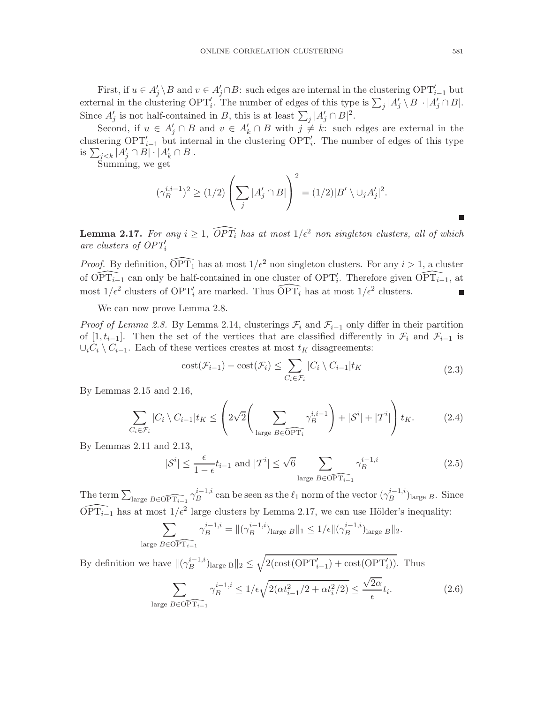First, if  $u \in A'_j \setminus B$  and  $v \in A'_j \cap B$ : such edges are internal in the clustering  $\text{OPT}'_{i-1}$  but external in the clustering  $OPT'_i$ . The number of edges of this type is  $\sum_j |A'_j \setminus B| \cdot |A'_j \cap B|$ . Since  $A'_{j}$  is not half-contained in B, this is at least  $\sum_{j} |A'_{j} \cap B|^{2}$ .

Second, if  $u \in A'_{j} \cap B$  and  $v \in A'_{k} \cap B$  with  $j \neq k$ : such edges are external in the clustering  $OPT'_{i-1}$  but internal in the clustering  $OPT'_{i}$ . The number of edges of this type is  $\sum_{j < k} |A'_j \cap B| \cdot |A'_k \cap B|$ .

Summing, we get

$$
(\gamma_B^{i,i-1})^2 \ge (1/2) \left( \sum_j |A'_j \cap B| \right)^2 = (1/2)|B' \setminus \cup_j A'_j|^2.
$$

**Lemma 2.17.** For any  $i \geq 1$ ,  $\widehat{OPT}_i$  has at most  $1/\epsilon^2$  non singleton clusters, all of which *are clusters of OPT*′ i

*Proof.* By definition,  $\widehat{OPT_1}$  has at most  $1/\epsilon^2$  non singleton clusters. For any  $i > 1$ , a cluster of  $\widehat{\text{OPT}_{i-1}}$  can only be half-contained in one cluster of  $\text{OPT}'_i$ . Therefore given  $\widehat{\text{OPT}_{i-1}}$ , at most  $1/\epsilon^2$  clusters of OPT'<sub>i</sub> are marked. Thus  $\widehat{\text{OPT}_i}$  has at most  $1/\epsilon^2$  clusters. г

We can now prove Lemma 2.8.

*Proof of Lemma 2.8.* By Lemma 2.14, clusterings  $\mathcal{F}_i$  and  $\mathcal{F}_{i-1}$  only differ in their partition of [1,  $t_{i-1}$ ]. Then the set of the vertices that are classified differently in  $\mathcal{F}_i$  and  $\mathcal{F}_{i-1}$  is  $\cup_i C_i \setminus C_{i-1}$ . Each of these vertices creates at most  $t_K$  disagreements:

$$
cost(\mathcal{F}_{i-1}) - cost(\mathcal{F}_i) \le \sum_{C_i \in \mathcal{F}_i} |C_i \setminus C_{i-1}| t_K
$$
\n(2.3)

By Lemmas 2.15 and 2.16,

$$
\sum_{C_i \in \mathcal{F}_i} |C_i \setminus C_{i-1}| t_K \leq \left(2\sqrt{2} \left(\sum_{\text{large } B \in \widehat{\text{OPT}_i}} \gamma_B^{i,i-1}\right) + |\mathcal{S}^i| + |\mathcal{T}^i| \right) t_K. \tag{2.4}
$$

By Lemmas 2.11 and 2.13,

$$
|\mathcal{S}^i| \le \frac{\epsilon}{1 - \epsilon} t_{i-1} \text{ and } |\mathcal{T}^i| \le \sqrt{6} \sum_{\text{large } B \in \widehat{\text{OPT}_{i-1}}} \gamma_B^{i-1,i} \tag{2.5}
$$

The term  $\sum_{\text{large }B\in\widehat{\text{OPT}_{i-1}}} \gamma_B^{i-1,i}$  $B_B^{i-1,i}$  can be seen as the  $\ell_1$  norm of the vector  $(\gamma_B^{i-1,i})$  $\binom{n-1, i}{B}$ large B. Since  $\widehat{\text{OPT}_{i-1}}$  has at most  $1/\epsilon^2$  large clusters by Lemma 2.17, we can use Hölder's inequality:

$$
\sum_{\text{large }B\in\widehat{\text{OPT}_{i-1}}}\gamma_B^{i-1,i}=\|(\gamma_B^{i-1,i})_{\text{large }B}\|_1\leq 1/\epsilon\|(\gamma_B^{i-1,i})_{\text{large }B}\|_2.
$$

By definition we have  $\|(\gamma_B^{i-1,i})\|$  $\mathbb{E}_{B}^{i-1,i}$ )<sub>large B</sub> $||_2 \leq \sqrt{2(\text{cost}(\text{OPT}'_{i-1}) + \text{cost}(\text{OPT}'_i))}$ . Thus

$$
\sum_{\text{large }B\in\widehat{\text{OPT}_{i-1}}} \gamma_B^{i-1,i} \le 1/\epsilon \sqrt{2(\alpha t_{i-1}^2/2 + \alpha t_i^2/2)} \le \frac{\sqrt{2\alpha}}{\epsilon} t_i. \tag{2.6}
$$

П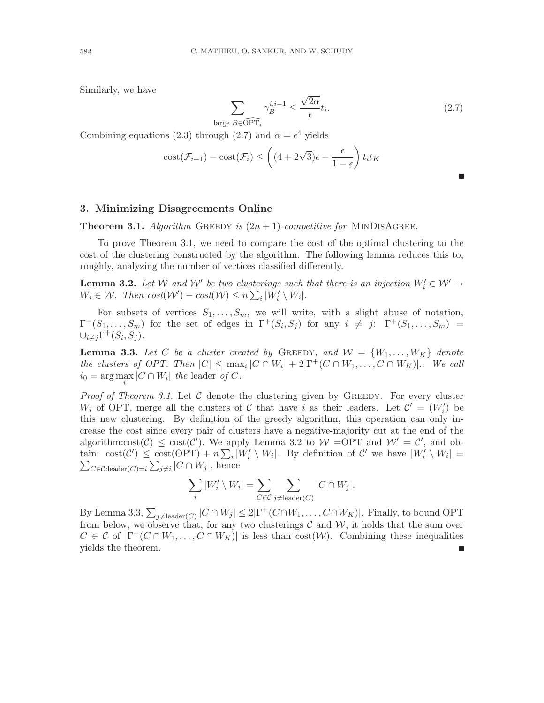Similarly, we have

$$
\sum_{\text{large }B\in\widehat{\text{OPT}_i}}\gamma_B^{i,i-1}\leq \frac{\sqrt{2\alpha}}{\epsilon}t_i.
$$
\n(2.7)

Combining equations (2.3) through (2.7) and  $\alpha = \epsilon^4$  yields

$$
cost(\mathcal{F}_{i-1}) - cost(\mathcal{F}_i) \le \left( (4 + 2\sqrt{3})\epsilon + \frac{\epsilon}{1 - \epsilon} \right) t_i t_K
$$

#### 3. Minimizing Disagreements Online

**Theorem 3.1.** Algorithm GREEDY is  $(2n + 1)$ -competitive for MINDISAGREE.

To prove Theorem 3.1, we need to compare the cost of the optimal clustering to the cost of the clustering constructed by the algorithm. The following lemma reduces this to, roughly, analyzing the number of vertices classified differently.

**Lemma 3.2.** Let  $W$  and  $W'$  be two clusterings such that there is an injection  $W'_i \in W' \to$  $W_i \in \mathcal{W}$ . Then  $cost(\mathcal{W}') - cost(\mathcal{W}) \leq n \sum_i |W'_i \setminus W_i|$ .

For subsets of vertices  $S_1, \ldots, S_m$ , we will write, with a slight abuse of notation,  $\Gamma^+(S_1,\ldots,S_m)$  for the set of edges in  $\Gamma^+(S_i,S_j)$  for any  $i \neq j$ :  $\Gamma^+(S_1,\ldots,S_m)$  =  $\cup_{i\neq j}\Gamma^{+}(S_{i},S_{j}).$ 

**Lemma 3.3.** Let C be a cluster created by GREEDY, and  $W = \{W_1, \ldots, W_K\}$  denote *the clusters of OPT. Then*  $|C| \le \max_i |C \cap W_i| + 2|\Gamma^+(C \cap W_1, \ldots, C \cap W_K)|$ . We call  $i_0 = \arg \max_i |C \cap W_i|$  *the* leader *of* C.

*Proof of Theorem 3.1.* Let  $\mathcal C$  denote the clustering given by GREEDY. For every cluster  $W_i$  of OPT, merge all the clusters of C that have i as their leaders. Let  $\mathcal{C}' = (W'_i)$  be this new clustering. By definition of the greedy algorithm, this operation can only increase the cost since every pair of clusters have a negative-majority cut at the end of the algorithm: $cost(\mathcal{C}) \leq cost(\mathcal{C}')$ . We apply Lemma 3.2 to  $\mathcal{W} = \text{OPT}$  and  $\mathcal{W}' = \mathcal{C}'$ , and obtain:  $\cot(\mathcal{C}') \leq \cot(\mathrm{OPT}) + n \sum_i |W'_i \setminus W_i|$ . By definition of  $\mathcal{C}'$  we have  $|W'_i \setminus W_i| =$  $\sum_{C \in \mathcal{C}: \text{leader}(C) = i} \sum_{j \neq i} |C \cap W_j|$ , hence

$$
\sum_{i} |W'_{i} \setminus W_{i}| = \sum_{C \in \mathcal{C}} \sum_{j \neq \text{leader}(C)} |C \cap W_{j}|.
$$

By Lemma 3.3,  $\sum_{j\neq \text{leader}(C)} |C \cap W_j| \leq 2|\Gamma^+(C \cap W_1, \dots, C \cap W_K)|$ . Finally, to bound OPT from below, we observe that, for any two clusterings  $\mathcal C$  and  $\mathcal W$ , it holds that the sum over  $C \in \mathcal{C}$  of  $|\Gamma^+(C \cap W_1, \ldots, C \cap W_K)|$  is less than  $\text{cost}(\mathcal{W})$ . Combining these inequalities yields the theorem.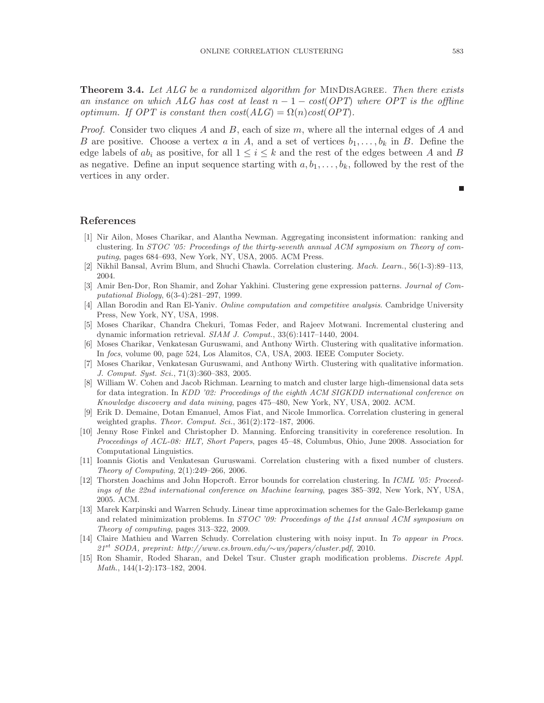Theorem 3.4. *Let ALG be a randomized algorithm for* MinDisAgree*. Then there exists an instance on which ALG has cost at least*  $n - 1 - \cos\left(\frac{OPT}{n}\right)$  *where OPT is the offline optimum. If OPT is constant then*  $cost(ALG) = \Omega(n)cost(OPT)$ *.* 

*Proof.* Consider two cliques A and B, each of size m, where all the internal edges of A and B are positive. Choose a vertex a in A, and a set of vertices  $b_1, \ldots, b_k$  in B. Define the edge labels of  $ab_i$  as positive, for all  $1 \leq i \leq k$  and the rest of the edges between A and B as negative. Define an input sequence starting with  $a, b_1, \ldots, b_k$ , followed by the rest of the vertices in any order.

#### References

- [1] Nir Ailon, Moses Charikar, and Alantha Newman. Aggregating inconsistent information: ranking and clustering. In *STOC '05: Proceedings of the thirty-seventh annual ACM symposium on Theory of computing*, pages 684–693, New York, NY, USA, 2005. ACM Press.
- [2] Nikhil Bansal, Avrim Blum, and Shuchi Chawla. Correlation clustering. *Mach. Learn.*, 56(1-3):89–113, 2004.
- [3] Amir Ben-Dor, Ron Shamir, and Zohar Yakhini. Clustering gene expression patterns. *Journal of Computational Biology*, 6(3-4):281–297, 1999.
- [4] Allan Borodin and Ran El-Yaniv. *Online computation and competitive analysis*. Cambridge University Press, New York, NY, USA, 1998.
- [5] Moses Charikar, Chandra Chekuri, Tomas Feder, and Rajeev Motwani. Incremental clustering and dynamic information retrieval. *SIAM J. Comput.*, 33(6):1417–1440, 2004.
- [6] Moses Charikar, Venkatesan Guruswami, and Anthony Wirth. Clustering with qualitative information. In *focs*, volume 00, page 524, Los Alamitos, CA, USA, 2003. IEEE Computer Society.
- [7] Moses Charikar, Venkatesan Guruswami, and Anthony Wirth. Clustering with qualitative information. *J. Comput. Syst. Sci.*, 71(3):360–383, 2005.
- [8] William W. Cohen and Jacob Richman. Learning to match and cluster large high-dimensional data sets for data integration. In *KDD '02: Proceedings of the eighth ACM SIGKDD international conference on Knowledge discovery and data mining*, pages 475–480, New York, NY, USA, 2002. ACM.
- [9] Erik D. Demaine, Dotan Emanuel, Amos Fiat, and Nicole Immorlica. Correlation clustering in general weighted graphs. *Theor. Comput. Sci.*, 361(2):172–187, 2006.
- [10] Jenny Rose Finkel and Christopher D. Manning. Enforcing transitivity in coreference resolution. In *Proceedings of ACL-08: HLT, Short Papers*, pages 45–48, Columbus, Ohio, June 2008. Association for Computational Linguistics.
- [11] Ioannis Giotis and Venkatesan Guruswami. Correlation clustering with a fixed number of clusters. *Theory of Computing*, 2(1):249–266, 2006.
- [12] Thorsten Joachims and John Hopcroft. Error bounds for correlation clustering. In *ICML '05: Proceedings of the 22nd international conference on Machine learning*, pages 385–392, New York, NY, USA, 2005. ACM.
- [13] Marek Karpinski and Warren Schudy. Linear time approximation schemes for the Gale-Berlekamp game and related minimization problems. In *STOC '09: Proceedings of the 41st annual ACM symposium on Theory of computing*, pages 313–322, 2009.
- [14] Claire Mathieu and Warren Schudy. Correlation clustering with noisy input. In *To appear in Procs. 21*st *SODA, preprint: http://www.cs.brown.edu/*∼*ws/papers/cluster.pdf*, 2010.
- [15] Ron Shamir, Roded Sharan, and Dekel Tsur. Cluster graph modification problems. *Discrete Appl. Math.*, 144(1-2):173–182, 2004.

П